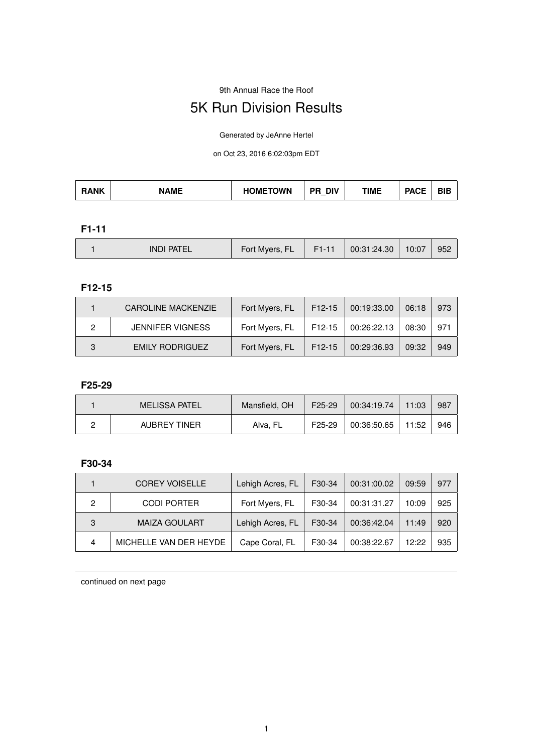9th Annual Race the Roof

# 5K Run Division Results

Generated by JeAnne Hertel

on Oct 23, 2016 6:02:03pm EDT

| --<br><b>TOWN</b><br>- מ<br>DIV<br>ANK<br><b>NAME</b><br><b>TIME</b><br>OME.<br>DГ<br>нr<br>ыc<br>. AVL |
|---------------------------------------------------------------------------------------------------------|
|---------------------------------------------------------------------------------------------------------|

**F1-11**

|  | PATE<br>IND.<br>⊢ | Fort Myers, FL | <b>FI-</b> | 00:31:24.30 | 10:07 | 952 |
|--|-------------------|----------------|------------|-------------|-------|-----|
|--|-------------------|----------------|------------|-------------|-------|-----|

**F12-15**

|   | <b>CAROLINE MACKENZIE</b> | Fort Myers, FL | F12-15 | 00:19:33.00 | 06:18 | 973 |
|---|---------------------------|----------------|--------|-------------|-------|-----|
|   | <b>JENNIFER VIGNESS</b>   | Fort Myers, FL | F12-15 | 00:26:22.13 | 08:30 | 971 |
| R | EMILY RODRIGUEZ           | Fort Myers, FL | F12-15 | 00:29:36.93 | 09:32 | 949 |

#### **F25-29**

| <b>MELISSA PATEL</b> | Mansfield, OH | $F25-29$            | 00:34:19.74 | 11:03 | 987 |
|----------------------|---------------|---------------------|-------------|-------|-----|
| AUBREY TINER         | Alva, FL      | F <sub>25</sub> -29 | 00:36:50.65 | 11:52 | 946 |

## **F30-34**

|   | <b>COREY VOISELLE</b>  | Lehigh Acres, FL | F30-34 | 00:31:00.02 | 09:59 | 977 |
|---|------------------------|------------------|--------|-------------|-------|-----|
| 2 | <b>CODI PORTER</b>     | Fort Myers, FL   | F30-34 | 00:31:31.27 | 10:09 | 925 |
| 3 | <b>MAIZA GOULART</b>   | Lehigh Acres, FL | F30-34 | 00:36:42.04 | 11:49 | 920 |
| 4 | MICHELLE VAN DER HEYDE | Cape Coral, FL   | F30-34 | 00:38:22.67 | 12:22 | 935 |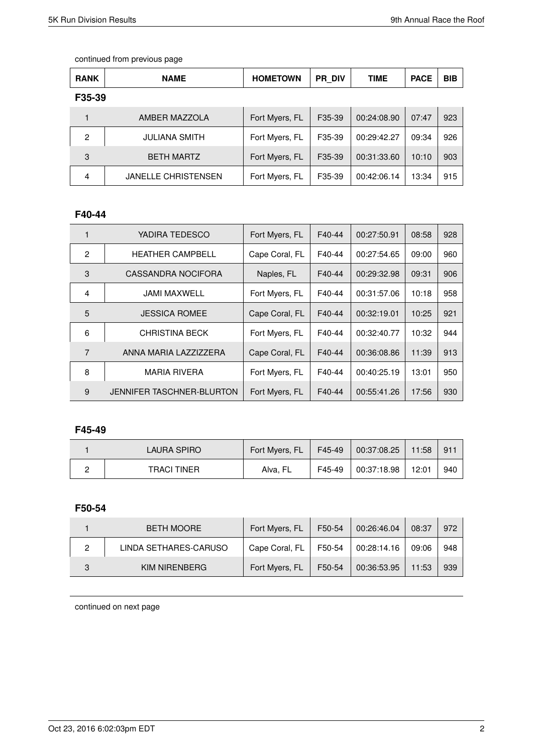| <b>RANK</b> | <b>NAME</b>                | <b>HOMETOWN</b> | <b>PR DIV</b> | <b>TIME</b> | <b>PACE</b> | <b>BIB</b> |
|-------------|----------------------------|-----------------|---------------|-------------|-------------|------------|
| F35-39      |                            |                 |               |             |             |            |
|             | AMBER MAZZOLA              | Fort Myers, FL  | F35-39        | 00:24:08.90 | 07:47       | 923        |
| 2           | <b>JULIANA SMITH</b>       | Fort Myers, FL  | F35-39        | 00:29:42.27 | 09:34       | 926        |
| 3           | <b>BETH MARTZ</b>          | Fort Myers, FL  | F35-39        | 00:31:33.60 | 10:10       | 903        |
| 4           | <b>JANELLE CHRISTENSEN</b> | Fort Myers, FL  | F35-39        | 00:42:06.14 | 13:34       | 915        |

## **F40-44**

| 1              | YADIRA TEDESCO                   | Fort Myers, FL | F40-44 | 00:27:50.91 | 08:58 | 928 |
|----------------|----------------------------------|----------------|--------|-------------|-------|-----|
| $\mathfrak{p}$ | <b>HEATHER CAMPBELL</b>          | Cape Coral, FL | F40-44 | 00:27:54.65 | 09:00 | 960 |
| 3              | CASSANDRA NOCIFORA               | Naples, FL     | F40-44 | 00:29:32.98 | 09:31 | 906 |
| 4              | JAMI MAXWELL                     | Fort Myers, FL | F40-44 | 00:31:57.06 | 10:18 | 958 |
| 5              | <b>JESSICA ROMEE</b>             | Cape Coral, FL | F40-44 | 00:32:19.01 | 10:25 | 921 |
| 6              | <b>CHRISTINA BECK</b>            | Fort Myers, FL | F40-44 | 00:32:40.77 | 10:32 | 944 |
| $\overline{7}$ | ANNA MARIA LAZZIZZERA            | Cape Coral, FL | F40-44 | 00:36:08.86 | 11:39 | 913 |
| 8              | <b>MARIA RIVERA</b>              | Fort Myers, FL | F40-44 | 00:40:25.19 | 13:01 | 950 |
| 9              | <b>JENNIFER TASCHNER-BLURTON</b> | Fort Myers, FL | F40-44 | 00:55:41.26 | 17:56 | 930 |

## **F45-49**

| LAURA SPIRO | Fort Myers, FL | F45-49 | 00:37:08.25 | 11:58 | $91^{\circ}$ |
|-------------|----------------|--------|-------------|-------|--------------|
| TRACI TINER | Alva, FL       | F45-49 | 00:37:18.98 | 12:01 | 940          |

# **F50-54**

|   | <b>BETH MOORE</b>     | Fort Myers, FL | F50-54 | 00:26:46.04 | 08:37 | 972 |
|---|-----------------------|----------------|--------|-------------|-------|-----|
| 2 | LINDA SETHARES-CARUSO | Cape Coral, FL | F50-54 | 00:28:14.16 | 09:06 | 948 |
|   | KIM NIRENBERG         | Fort Myers, FL | F50-54 | 00:36:53.95 | 11:53 | 939 |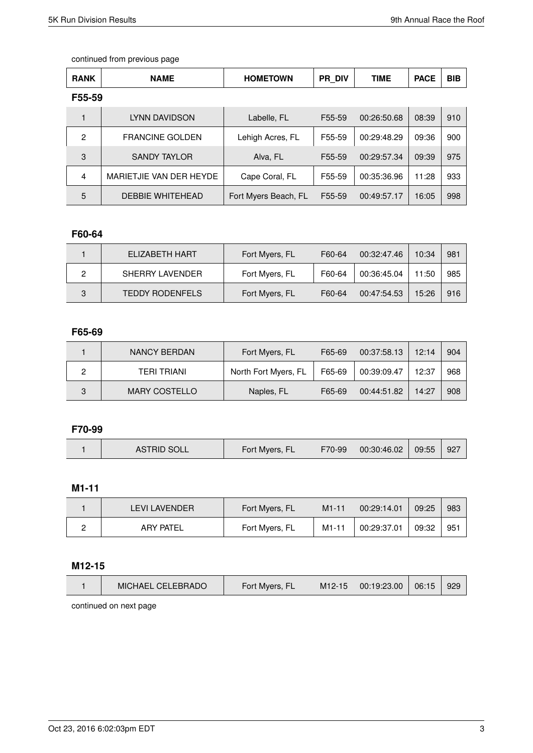| <b>RANK</b>    | <b>NAME</b>             | <b>HOMETOWN</b>      | PR DIV | <b>TIME</b> | <b>PACE</b> | <b>BIB</b> |
|----------------|-------------------------|----------------------|--------|-------------|-------------|------------|
| F55-59         |                         |                      |        |             |             |            |
|                | LYNN DAVIDSON           | Labelle, FL          | F55-59 | 00:26:50.68 | 08:39       | 910        |
| $\overline{2}$ | <b>FRANCINE GOLDEN</b>  | Lehigh Acres, FL     | F55-59 | 00:29:48.29 | 09:36       | 900        |
| 3              | <b>SANDY TAYLOR</b>     | Alva, FL             | F55-59 | 00:29:57.34 | 09:39       | 975        |
| $\overline{4}$ | MARIETJIE VAN DER HEYDE | Cape Coral, FL       | F55-59 | 00:35:36.96 | 11:28       | 933        |
| 5              | <b>DEBBIE WHITEHEAD</b> | Fort Myers Beach, FL | F55-59 | 00:49:57.17 | 16:05       | 998        |

# **F60-64**

|   | FI IZABETH HART        | Fort Myers, FL | F60-64 | 00:32:47.46 | 10:34 | 981 |
|---|------------------------|----------------|--------|-------------|-------|-----|
|   | SHERRY LAVENDER        | Fort Myers, FL | F60-64 | 00:36:45.04 | 11:50 | 985 |
| 3 | <b>TEDDY RODENFELS</b> | Fort Myers, FL | F60-64 | 00:47:54.53 | 15:26 | 916 |

#### **F65-69**

|   | NANCY BERDAN         | Fort Myers, FL       | F65-69 | 00:37:58.13 | 12:14 | 904 |
|---|----------------------|----------------------|--------|-------------|-------|-----|
|   | TFRI TRIANI          | North Fort Myers, FL | F65-69 | 00:39:09.47 | 12:37 | 968 |
| 3 | <b>MARY COSTELLO</b> | Naples, FL           | F65-69 | 00:44:51.82 | 14:27 | 908 |

## **F70-99**

|  | ASTRID SOLL | Fort Myers, FL | F70-99 | 00:30:46.02 | 09:55 | -927 |
|--|-------------|----------------|--------|-------------|-------|------|
|--|-------------|----------------|--------|-------------|-------|------|

## **M1-11**

| I FVI I AVENDER  | Fort Myers, FL | $M1 - 11$ | 00:29:14.01 | 09:25 | 983 |
|------------------|----------------|-----------|-------------|-------|-----|
| <b>ARY PATEL</b> | Fort Myers, FL | $M1-11$   | 00:29:37.01 | 09:32 | 951 |

#### **M12-15**

| MICHAEL CELEBRADO | Fort Myers, FL | M <sub>12</sub> -15 | $\frac{1}{2}$ 00:19:23.00 | 06:15 | 929 |
|-------------------|----------------|---------------------|---------------------------|-------|-----|
|                   |                |                     |                           |       |     |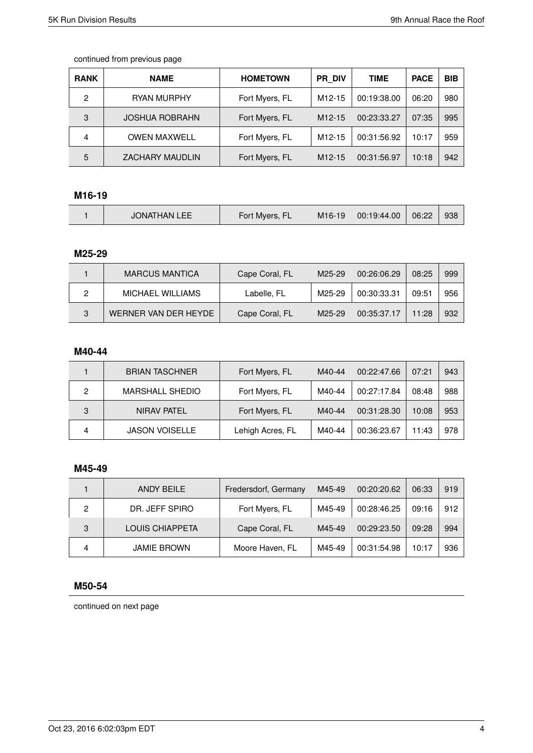| <b>RANK</b> | <b>NAME</b>            | <b>HOMETOWN</b> | <b>PR DIV</b>       | <b>TIME</b> | <b>PACE</b> | <b>BIB</b> |
|-------------|------------------------|-----------------|---------------------|-------------|-------------|------------|
| 2           | RYAN MURPHY            | Fort Myers, FL  | M <sub>12</sub> -15 | 00:19:38.00 | 06:20       | 980        |
| 3           | <b>JOSHUA ROBRAHN</b>  | Fort Myers, FL  | $M12-15$            | 00:23:33.27 | 07:35       | 995        |
| 4           | <b>OWEN MAXWELL</b>    | Fort Myers, FL  | M12-15              | 00:31:56.92 | 10:17       | 959        |
| 5           | <b>ZACHARY MAUDLIN</b> | Fort Myers, FL  | $M12-15$            | 00:31:56.97 | 10:18       | 942        |

## **M16-19**

|  | <b>JONATHAN LEE</b> | Fort Myers, FL | M <sub>16</sub> -19 | 00:19:44.00 | 06:22 | 938 |
|--|---------------------|----------------|---------------------|-------------|-------|-----|
|--|---------------------|----------------|---------------------|-------------|-------|-----|

#### **M25-29**

|   | <b>MARCUS MANTICA</b> | Cape Coral, FL | M25-29 | 00:26:06.29 | 08:25 | 999 |
|---|-----------------------|----------------|--------|-------------|-------|-----|
|   | MICHAEL WILLIAMS      | Labelle, FL    | M25-29 | 00:30:33.31 | 09:51 | 956 |
| 3 | WERNER VAN DER HEYDE  | Cape Coral, FL | M25-29 | 00:35:37.17 | 11.28 | 932 |

#### **M40-44**

|   | <b>BRIAN TASCHNER</b>  | Fort Myers, FL   | M40-44 | 00:22:47.66 | 07:21 | 943 |
|---|------------------------|------------------|--------|-------------|-------|-----|
| 2 | <b>MARSHALL SHEDIO</b> | Fort Myers, FL   | M40-44 | 00:27:17.84 | 08:48 | 988 |
| 3 | NIRAV PATEL            | Fort Myers, FL   | M40-44 | 00:31:28.30 | 10:08 | 953 |
| Δ | <b>JASON VOISELLE</b>  | Lehigh Acres, FL | M40-44 | 00:36:23.67 | 11:43 | 978 |

#### **M45-49**

|   | ANDY BEILE         | Fredersdorf, Germany | M45-49 | 00:20:20.62 | 06:33 | 919 |
|---|--------------------|----------------------|--------|-------------|-------|-----|
| 2 | DR. JEFF SPIRO     | Fort Myers, FL       | M45-49 | 00:28:46.25 | 09:16 | 912 |
| 3 | LOUIS CHIAPPETA    | Cape Coral, FL       | M45-49 | 00:29:23.50 | 09:28 | 994 |
| 4 | <b>JAMIE BROWN</b> | Moore Haven, FL      | M45-49 | 00:31:54.98 | 10:17 | 936 |

#### **M50-54**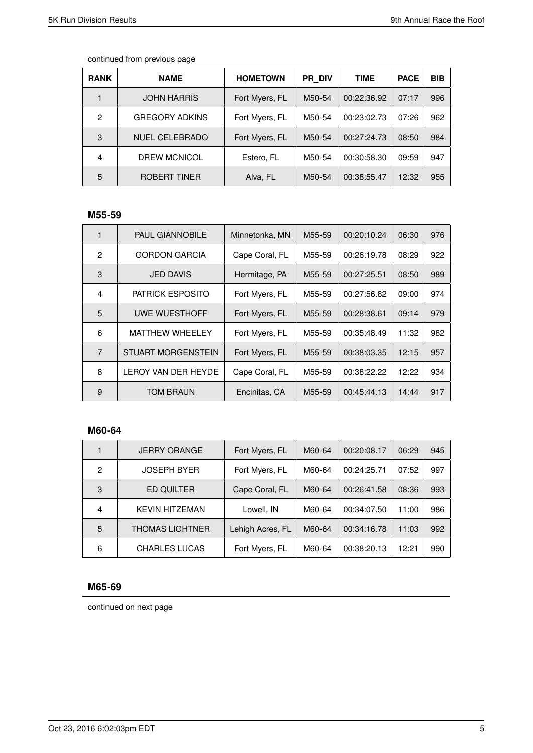| <b>RANK</b>    | <b>NAME</b>           | <b>HOMETOWN</b> | PR DIV | TIME        | <b>PACE</b> | <b>BIB</b> |
|----------------|-----------------------|-----------------|--------|-------------|-------------|------------|
|                | <b>JOHN HARRIS</b>    | Fort Myers, FL  | M50-54 | 00:22:36.92 | 07:17       | 996        |
| $\mathfrak{p}$ | <b>GREGORY ADKINS</b> | Fort Myers, FL  | M50-54 | 00:23:02.73 | 07:26       | 962        |
| 3              | <b>NUEL CELEBRADO</b> | Fort Myers, FL  | M50-54 | 00:27:24.73 | 08:50       | 984        |
| 4              | <b>DREW MCNICOL</b>   | Estero, FL      | M50-54 | 00:30:58.30 | 09:59       | 947        |
| 5              | ROBERT TINER          | Alva, FL        | M50-54 | 00:38:55.47 | 12:32       | 955        |

# **M55-59**

| 1              | <b>PAUL GIANNOBILE</b>     | Minnetonka, MN | M55-59 | 00:20:10.24 | 06:30 | 976 |
|----------------|----------------------------|----------------|--------|-------------|-------|-----|
| 2              | <b>GORDON GARCIA</b>       | Cape Coral, FL | M55-59 | 00:26:19.78 | 08:29 | 922 |
| 3              | <b>JED DAVIS</b>           | Hermitage, PA  | M55-59 | 00:27:25.51 | 08:50 | 989 |
| 4              | <b>PATRICK ESPOSITO</b>    | Fort Myers, FL | M55-59 | 00:27:56.82 | 09:00 | 974 |
| 5              | UWE WUESTHOFF              | Fort Myers, FL | M55-59 | 00:28:38.61 | 09:14 | 979 |
| 6              | <b>MATTHEW WHEELEY</b>     | Fort Myers, FL | M55-59 | 00:35:48.49 | 11:32 | 982 |
| $\overline{7}$ | <b>STUART MORGENSTEIN</b>  | Fort Myers, FL | M55-59 | 00:38:03.35 | 12:15 | 957 |
| 8              | <b>LEROY VAN DER HEYDE</b> | Cape Coral, FL | M55-59 | 00:38:22.22 | 12:22 | 934 |
| 9              | <b>TOM BRAUN</b>           | Encinitas, CA  | M55-59 | 00:45:44.13 | 14:44 | 917 |

### **M60-64**

|   | <b>JERRY ORANGE</b>    | Fort Myers, FL   | M60-64 | 00:20:08.17 | 06:29 | 945 |
|---|------------------------|------------------|--------|-------------|-------|-----|
| 2 | <b>JOSEPH BYER</b>     | Fort Myers, FL   | M60-64 | 00:24:25.71 | 07:52 | 997 |
| 3 | ED QUILTER             | Cape Coral, FL   | M60-64 | 00:26:41.58 | 08:36 | 993 |
| 4 | <b>KEVIN HITZEMAN</b>  | Lowell, IN       | M60-64 | 00:34:07.50 | 11:00 | 986 |
| 5 | <b>THOMAS LIGHTNER</b> | Lehigh Acres, FL | M60-64 | 00:34:16.78 | 11:03 | 992 |
| 6 | <b>CHARLES LUCAS</b>   | Fort Myers, FL   | M60-64 | 00:38:20.13 | 12:21 | 990 |

# **M65-69**